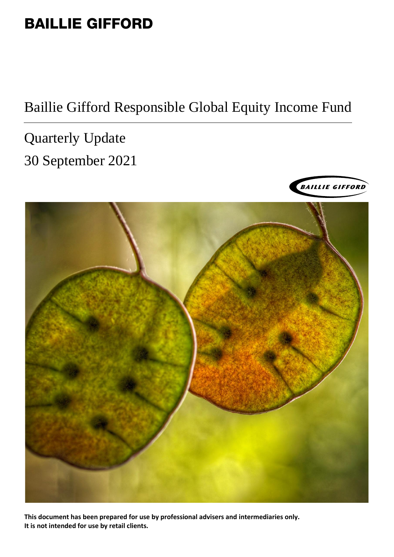# BAILLIE GIFFORD

# Baillie Gifford Responsible Global Equity Income Fund

Quarterly Update 30 September 2021





**This document has been prepared for use by professional advisers and intermediaries only. It is not intended for use by retail clients.**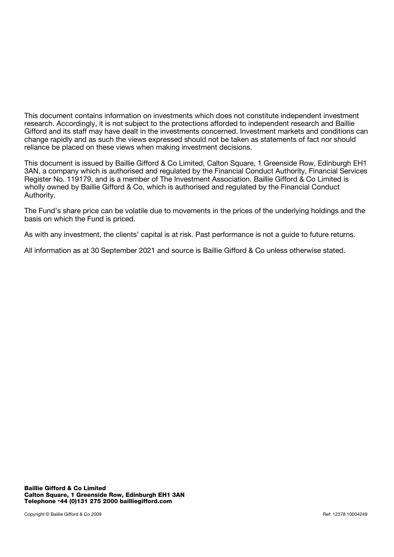This document contains information on investments which does not constitute independent investment research. Accordingly, it is not subject to the protections afforded to independent research and Baillie Gifford and its staff may have dealt in the investments concerned. Investment markets and conditions can change rapidly and as such the views expressed should not be taken as statements of fact nor should reliance be placed on these views when making investment decisions.

This document is issued by Baillie Gifford & Co Limited, Calton Square, 1 Greenside Row, Edinburgh EH1 3AN, a company which is authorised and regulated by the Financial Conduct Authority, Financial Services Register No. 119179, and is a member of The Investment Association. Baillie Gifford & Co Limited is wholly owned by Baillie Gifford & Co, which is authorised and regulated by the Financial Conduct Authority.

The Fund's share price can be volatile due to movements in the prices of the underlying holdings and the basis on which the Fund is priced.

As with any investment, the clients' capital is at risk. Past performance is not a guide to future returns.

All information as at 30 September 2021 and source is Baillie Gifford & Co unless otherwise stated.

Baillie Gifford & Co Limited Calton Square, 1 Greenside Row, Edinburgh EH1 3AN Telephone <sup>+</sup>44 (0)131 275 2000 [bailliegifford.com](http://www.bailliegifford.com/)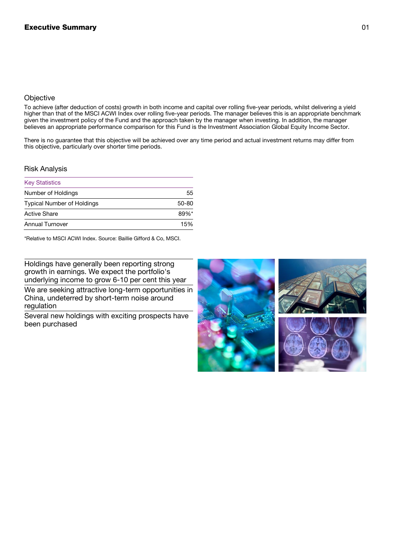## **Objective**

To achieve (after deduction of costs) growth in both income and capital over rolling five-year periods, whilst delivering a yield higher than that of the MSCI ACWI Index over rolling five-year periods. The manager believes this is an appropriate benchmark given the investment policy of the Fund and the approach taken by the manager when investing. In addition, the manager believes an appropriate performance comparison for this Fund is the Investment Association Global Equity Income Sector.

There is no guarantee that this objective will be achieved over any time period and actual investment returns may differ from this objective, particularly over shorter time periods.

### Risk Analysis

| <b>Key Statistics</b>             |           |
|-----------------------------------|-----------|
| Number of Holdings                | 55        |
| <b>Typical Number of Holdings</b> | $50 - 80$ |
| <b>Active Share</b>               | $89%$ *   |
| <b>Annual Turnover</b>            | 15%       |

\*Relative to MSCI ACWI Index. Source: Baillie Gifford & Co, MSCI.

Holdings have generally been reporting strong growth in earnings. We expect the portfolio's underlying income to grow 6-10 per cent this year

We are seeking attractive long-term opportunities in China, undeterred by short-term noise around regulation

Several new holdings with exciting prospects have been purchased

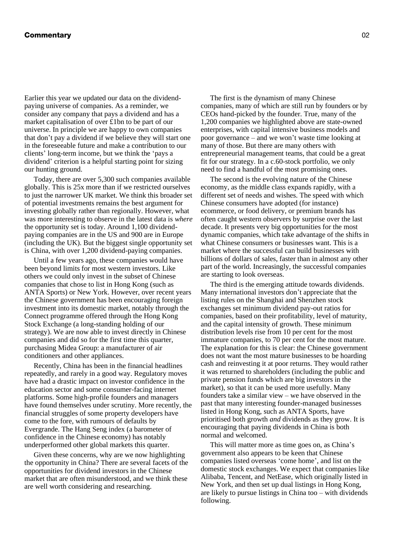#### Commentary 02

Earlier this year we updated our data on the dividendpaying universe of companies. As a reminder, we consider any company that pays a dividend and has a market capitalisation of over £1bn to be part of our universe. In principle we are happy to own companies that don't pay a dividend if we believe they will start one in the foreseeable future and make a contribution to our clients' long-term income, but we think the 'pays a dividend' criterion is a helpful starting point for sizing our hunting ground.

Today, there are over 5,300 such companies available globally. This is 25x more than if we restricted ourselves to just the narrower UK market. We think this broader set of potential investments remains the best argument for investing globally rather than regionally. However, what was more interesting to observe in the latest data is *where* the opportunity set is today. Around 1,100 dividendpaying companies are in the US and 900 are in Europe (including the UK). But the biggest single opportunity set is China, with over 1,200 dividend-paying companies.

Until a few years ago, these companies would have been beyond limits for most western investors. Like others we could only invest in the subset of Chinese companies that chose to list in Hong Kong (such as ANTA Sports) or New York. However, over recent years the Chinese government has been encouraging foreign investment into its domestic market, notably through the Connect programme offered through the Hong Kong Stock Exchange (a long-standing holding of our strategy). We are now able to invest directly in Chinese companies and did so for the first time this quarter, purchasing Midea Group: a manufacturer of air conditioners and other appliances.

Recently, China has been in the financial headlines repeatedly, and rarely in a good way. Regulatory moves have had a drastic impact on investor confidence in the education sector and some consumer-facing internet platforms. Some high-profile founders and managers have found themselves under scrutiny. More recently, the financial struggles of some property developers have come to the fore, with rumours of defaults by Evergrande. The Hang Seng index (a barometer of confidence in the Chinese economy) has notably underperformed other global markets this quarter.

Given these concerns, why are we now highlighting the opportunity in China? There are several facets of the opportunities for dividend investors in the Chinese market that are often misunderstood, and we think these are well worth considering and researching.

The first is the dynamism of many Chinese companies, many of which are still run by founders or by CEOs hand-picked by the founder. True, many of the 1,200 companies we highlighted above are state-owned enterprises, with capital intensive business models and poor governance – and we won't waste time looking at many of those. But there are many others with entrepreneurial management teams, that could be a great fit for our strategy. In a c.60-stock portfolio, we only need to find a handful of the most promising ones.

The second is the evolving nature of the Chinese economy, as the middle class expands rapidly, with a different set of needs and wishes. The speed with which Chinese consumers have adopted (for instance) ecommerce, or food delivery, or premium brands has often caught western observers by surprise over the last decade. It presents very big opportunities for the most dynamic companies, which take advantage of the shifts in what Chinese consumers or businesses want. This is a market where the successful can build businesses with billions of dollars of sales, faster than in almost any other part of the world. Increasingly, the successful companies are starting to look overseas.

The third is the emerging attitude towards dividends. Many international investors don't appreciate that the listing rules on the Shanghai and Shenzhen stock exchanges set minimum dividend pay-out ratios for companies, based on their profitability, level of maturity, and the capital intensity of growth. These minimum distribution levels rise from 10 per cent for the most immature companies, to 70 per cent for the most mature. The explanation for this is clear: the Chinese government does not want the most mature businesses to be hoarding cash and reinvesting it at poor returns. They would rather it was returned to shareholders (including the public and private pension funds which are big investors in the market), so that it can be used more usefully. Many founders take a similar view – we have observed in the past that many interesting founder-managed businesses listed in Hong Kong, such as ANTA Sports, have prioritised both growth *and* dividends as they grow. It is encouraging that paying dividends in China is both normal and welcomed.

This will matter more as time goes on, as China's government also appears to be keen that Chinese companies listed overseas 'come home', and list on the domestic stock exchanges. We expect that companies like Alibaba, Tencent, and NetEase, which originally listed in New York, and then set up dual listings in Hong Kong, are likely to pursue listings in China too – with dividends following.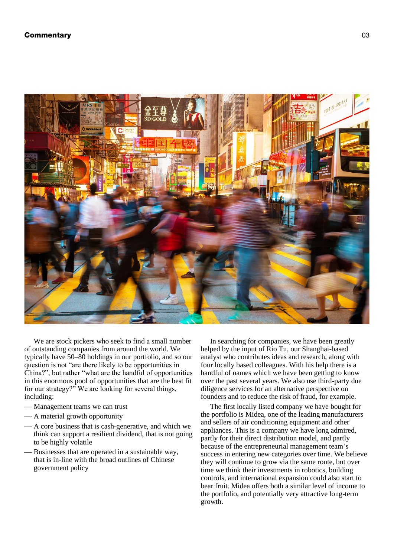### **Commentary 63 Commentary 63 Commentary 63 Commentary 63 Commentary 63 Commentary 63 Commentary 63 Commentary 63**



We are stock pickers who seek to find a small number of outstanding companies from around the world. We typically have 50–80 holdings in our portfolio, and so our question is not "are there likely to be opportunities in China?", but rather "what are the handful of opportunities in this enormous pool of opportunities that are the best fit for our strategy?" We are looking for several things, including:

- Management teams we can trust
- A material growth opportunity
- A core business that is cash-generative, and which we think can support a resilient dividend, that is not going to be highly volatile
- Businesses that are operated in a sustainable way, that is in-line with the broad outlines of Chinese government policy

In searching for companies, we have been greatly helped by the input of Rio Tu, our Shanghai-based analyst who contributes ideas and research, along with four locally based colleagues. With his help there is a handful of names which we have been getting to know over the past several years. We also use third-party due diligence services for an alternative perspective on founders and to reduce the risk of fraud, for example.

The first locally listed company we have bought for the portfolio is Midea, one of the leading manufacturers and sellers of air conditioning equipment and other appliances. This is a company we have long admired, partly for their direct distribution model, and partly because of the entrepreneurial management team's success in entering new categories over time. We believe they will continue to grow via the same route, but over time we think their investments in robotics, building controls, and international expansion could also start to bear fruit. Midea offers both a similar level of income to the portfolio, and potentially very attractive long-term growth.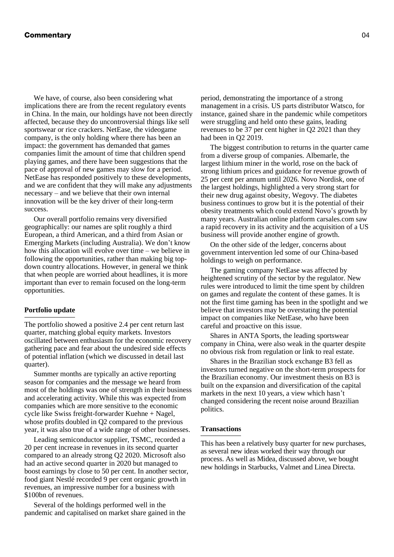#### **Commentary 64 Commentary 1996**

We have, of course, also been considering what implications there are from the recent regulatory events in China. In the main, our holdings have not been directly affected, because they do uncontroversial things like sell sportswear or rice crackers. NetEase, the videogame company, is the only holding where there has been an impact: the government has demanded that games companies limit the amount of time that children spend playing games, and there have been suggestions that the pace of approval of new games may slow for a period. NetEase has responded positively to these developments, and we are confident that they will make any adjustments necessary – and we believe that their own internal innovation will be the key driver of their long-term success.

Our overall portfolio remains very diversified geographically: our names are split roughly a third European, a third American, and a third from Asian or Emerging Markets (including Australia). We don't know how this allocation will evolve over time – we believe in following the opportunities, rather than making big topdown country allocations. However, in general we think that when people are worried about headlines, it is more important than ever to remain focused on the long-term opportunities.

#### **Portfolio update**

The portfolio showed a positive 2.4 per cent return last quarter, matching global equity markets. Investors oscillated between enthusiasm for the economic recovery gathering pace and fear about the undesired side effects of potential inflation (which we discussed in detail last quarter).

Summer months are typically an active reporting season for companies and the message we heard from most of the holdings was one of strength in their business and accelerating activity. While this was expected from companies which are more sensitive to the economic cycle like Swiss freight-forwarder Kuehne + Nagel, whose profits doubled in Q2 compared to the previous year, it was also true of a wide range of other businesses.

Leading semiconductor supplier, TSMC, recorded a 20 per cent increase in revenues in its second quarter compared to an already strong Q2 2020. Microsoft also had an active second quarter in 2020 but managed to boost earnings by close to 50 per cent. In another sector, food giant Nestlé recorded 9 per cent organic growth in revenues, an impressive number for a business with \$100bn of revenues.

Several of the holdings performed well in the pandemic and capitalised on market share gained in the

period, demonstrating the importance of a strong management in a crisis. US parts distributor Watsco, for instance, gained share in the pandemic while competitors were struggling and held onto these gains, leading revenues to be 37 per cent higher in Q2 2021 than they had been in Q2 2019.

The biggest contribution to returns in the quarter came from a diverse group of companies. Albemarle, the largest lithium miner in the world, rose on the back of strong lithium prices and guidance for revenue growth of 25 per cent per annum until 2026. Novo Nordisk, one of the largest holdings, highlighted a very strong start for their new drug against obesity, Wegovy. The diabetes business continues to grow but it is the potential of their obesity treatments which could extend Novo's growth by many years. Australian online platform carsales.com saw a rapid recovery in its activity and the acquisition of a US business will provide another engine of growth.

On the other side of the ledger, concerns about government intervention led some of our China-based holdings to weigh on performance.

The gaming company NetEase was affected by heightened scrutiny of the sector by the regulator. New rules were introduced to limit the time spent by children on games and regulate the content of these games. It is not the first time gaming has been in the spotlight and we believe that investors may be overstating the potential impact on companies like NetEase, who have been careful and proactive on this issue.

Shares in ANTA Sports, the leading sportswear company in China, were also weak in the quarter despite no obvious risk from regulation or link to real estate.

Shares in the Brazilian stock exchange B3 fell as investors turned negative on the short-term prospects for the Brazilian economy. Our investment thesis on B3 is built on the expansion and diversification of the capital markets in the next 10 years, a view which hasn't changed considering the recent noise around Brazilian politics.

#### **Transactions**

This has been a relatively busy quarter for new purchases, as several new ideas worked their way through our process. As well as Midea, discussed above, we bought new holdings in Starbucks, Valmet and Linea Directa.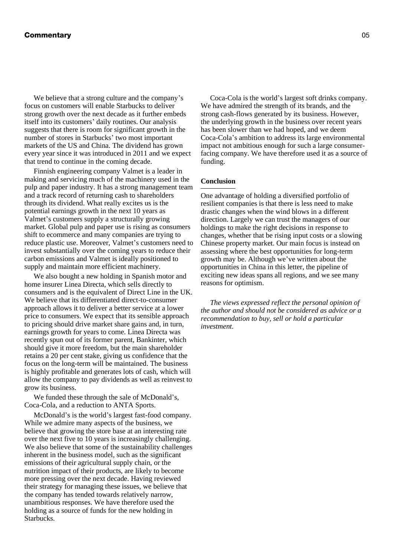We believe that a strong culture and the company's focus on customers will enable Starbucks to deliver strong growth over the next decade as it further embeds itself into its customers' daily routines. Our analysis suggests that there is room for significant growth in the number of stores in Starbucks' two most important markets of the US and China. The dividend has grown every year since it was introduced in 2011 and we expect that trend to continue in the coming decade.

Finnish engineering company Valmet is a leader in making and servicing much of the machinery used in the pulp and paper industry. It has a strong management team and a track record of returning cash to shareholders through its dividend. What really excites us is the potential earnings growth in the next 10 years as Valmet's customers supply a structurally growing market. Global pulp and paper use is rising as consumers shift to ecommerce and many companies are trying to reduce plastic use. Moreover, Valmet's customers need to invest substantially over the coming years to reduce their carbon emissions and Valmet is ideally positioned to supply and maintain more efficient machinery.

We also bought a new holding in Spanish motor and home insurer Linea Directa, which sells directly to consumers and is the equivalent of Direct Line in the UK. We believe that its differentiated direct-to-consumer approach allows it to deliver a better service at a lower price to consumers. We expect that its sensible approach to pricing should drive market share gains and, in turn, earnings growth for years to come. Linea Directa was recently spun out of its former parent, Bankinter, which should give it more freedom, but the main shareholder retains a 20 per cent stake, giving us confidence that the focus on the long-term will be maintained. The business is highly profitable and generates lots of cash, which will allow the company to pay dividends as well as reinvest to grow its business.

We funded these through the sale of McDonald's, Coca-Cola, and a reduction to ANTA Sports.

McDonald's is the world's largest fast-food company. While we admire many aspects of the business, we believe that growing the store base at an interesting rate over the next five to 10 years is increasingly challenging. We also believe that some of the sustainability challenges inherent in the business model, such as the significant emissions of their agricultural supply chain, or the nutrition impact of their products, are likely to become more pressing over the next decade. Having reviewed their strategy for managing these issues, we believe that the company has tended towards relatively narrow, unambitious responses. We have therefore used the holding as a source of funds for the new holding in Starbucks.

Coca-Cola is the world's largest soft drinks company. We have admired the strength of its brands, and the strong cash-flows generated by its business. However, the underlying growth in the business over recent years has been slower than we had hoped, and we deem Coca-Cola's ambition to address its large environmental impact not ambitious enough for such a large consumerfacing company. We have therefore used it as a source of funding.

#### **Conclusion**

One advantage of holding a diversified portfolio of resilient companies is that there is less need to make drastic changes when the wind blows in a different direction. Largely we can trust the managers of our holdings to make the right decisions in response to changes, whether that be rising input costs or a slowing Chinese property market. Our main focus is instead on assessing where the best opportunities for long-term growth may be. Although we've written about the opportunities in China in this letter, the pipeline of exciting new ideas spans all regions, and we see many reasons for optimism.

*The views expressed reflect the personal opinion of the author and should not be considered as advice or a recommendation to buy, sell or hold a particular investment.*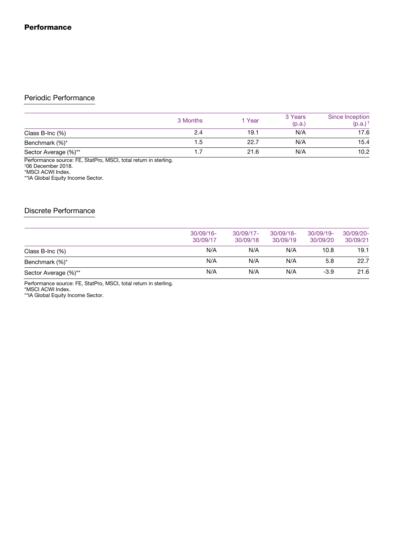# Periodic Performance

|                      | 3 Months | 1 Year | 3 Years<br>(p.a.) | Since Inception<br>$(p.a.)^+$ |
|----------------------|----------|--------|-------------------|-------------------------------|
| Class B-Inc $(\%)$   | 2.4      | 19.1   | N/A               | 17.6                          |
| Benchmark (%)*       | 1.5      | 22.7   | N/A               | 15.4                          |
| Sector Average (%)** |          | 21.6   | N/A               | 10.2                          |

Performance source: FE, StatPro, MSCI, total return in sterling. †06 December 2018.

\*MSCI ACWI Index.

\*\*IA Global Equity Income Sector.

## Discrete Performance

|                      | $30/09/16 -$<br>30/09/17 | $30/09/17 -$<br>30/09/18 | $30/09/18 -$<br>30/09/19 | $30/09/19 -$<br>30/09/20 | $30/09/20 -$<br>30/09/21 |
|----------------------|--------------------------|--------------------------|--------------------------|--------------------------|--------------------------|
| Class B-Inc $(\%)$   | N/A                      | N/A                      | N/A                      | 10.8                     | 19.1                     |
| Benchmark (%)*       | N/A                      | N/A                      | N/A                      | 5.8                      | 22.7                     |
| Sector Average (%)** | N/A                      | N/A                      | N/A                      | $-3.9$                   | 21.6                     |

Performance source: FE, StatPro, MSCI, total return in sterling.

\*MSCI ACWI Index.

\*\*IA Global Equity Income Sector.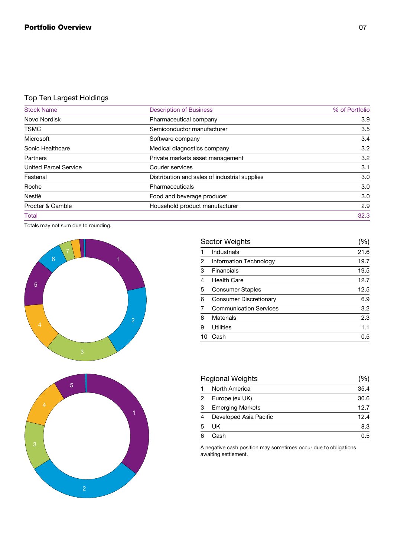# Top Ten Largest Holdings

| <b>Stock Name</b>            | <b>Description of Business</b>                | % of Portfolio |
|------------------------------|-----------------------------------------------|----------------|
| Novo Nordisk                 | Pharmaceutical company                        | 3.9            |
| <b>TSMC</b>                  | Semiconductor manufacturer                    | 3.5            |
| <b>Microsoft</b>             | Software company                              | 3.4            |
| <b>Sonic Healthcare</b>      | Medical diagnostics company                   | 3.2            |
| <b>Partners</b>              | Private markets asset management              | 3.2            |
| <b>United Parcel Service</b> | <b>Courier services</b>                       | 3.1            |
| Fastenal                     | Distribution and sales of industrial supplies | 3.0            |
| Roche                        | <b>Pharmaceuticals</b>                        | 3.0            |
| <b>Nestlé</b>                | Food and beverage producer                    | 3.0            |
| Procter & Gamble             | Household product manufacturer                | 2.9            |
| Total                        |                                               | 32.3           |

Totals may not sum due to rounding.





| <b>Sector Weights</b>         |      |
|-------------------------------|------|
| <b>Industrials</b>            | 21.6 |
| Information Technology        | 19.7 |
| <b>Financials</b>             | 19.5 |
| <b>Health Care</b>            | 12.7 |
| <b>Consumer Staples</b>       | 12.5 |
| <b>Consumer Discretionary</b> | 6.9  |
| <b>Communication Services</b> | 3.2  |
| <b>Materials</b>              | 2.3  |
| <b>Utilities</b>              | 1.1  |
| Cash                          | 0.5  |
|                               |      |

| <b>Regional Weights</b> |                         |      |
|-------------------------|-------------------------|------|
|                         | North America           | 35.4 |
| 2                       | Europe (ex UK)          | 30.6 |
| 3                       | <b>Emerging Markets</b> | 12.7 |
| 4                       | Developed Asia Pacific  | 12.4 |
| 5                       | UK.                     | 8.3  |
|                         | Cash                    | 0.5  |

A negative cash position may sometimes occur due to obligations awaiting settlement.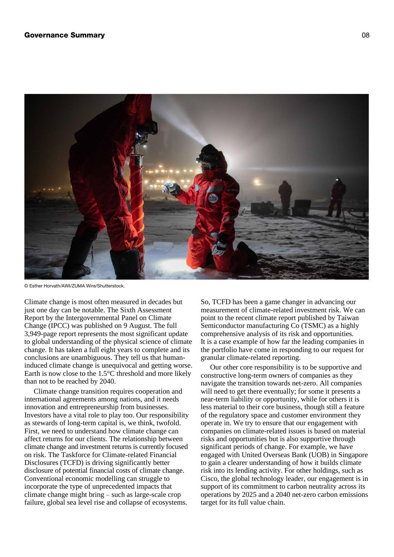

© Esther Horvath/AWI/ZUMA Wire/Shutterstock.

Climate change is most often measured in decades but just one day can be notable. The Sixth Assessment Report by the Intergovernmental Panel on Climate Change (IPCC) was published on 9 August. The full 3,949-page report represents the most significant update to global understanding of the physical science of climate change. It has taken a full eight years to complete and its conclusions are unambiguous. They tell us that humaninduced climate change is unequivocal and getting worse. Earth is now close to the 1.5°C threshold and more likely than not to be reached by 2040.

Climate change transition requires cooperation and international agreements among nations, and it needs innovation and entrepreneurship from businesses. Investors have a vital role to play too. Our responsibility as stewards of long-term capital is, we think, twofold. First, we need to understand how climate change can affect returns for our clients. The relationship between climate change and investment returns is currently focused on risk. The Taskforce for Climate-related Financial Disclosures (TCFD) is driving significantly better disclosure of potential financial costs of climate change. Conventional economic modelling can struggle to incorporate the type of unprecedented impacts that climate change might bring – such as large-scale crop failure, global sea level rise and collapse of ecosystems.

So, TCFD has been a game changer in advancing our measurement of climate-related investment risk. We can point to the recent climate report published by Taiwan Semiconductor manufacturing Co (TSMC) as a highly comprehensive analysis of its risk and opportunities. It is a case example of how far the leading companies in the portfolio have come in responding to our request for granular climate-related reporting.

Our other core responsibility is to be supportive and constructive long-term owners of companies as they navigate the transition towards net-zero. All companies will need to get there eventually; for some it presents a near-term liability or opportunity, while for others it is less material to their core business, though still a feature of the regulatory space and customer environment they operate in. We try to ensure that our engagement with companies on climate-related issues is based on material risks and opportunities but is also supportive through significant periods of change. For example, we have engaged with United Overseas Bank (UOB) in Singapore to gain a clearer understanding of how it builds climate risk into its lending activity. For other holdings, such as Cisco, the global technology leader, our engagement is in support of its commitment to carbon neutrality across its operations by 2025 and a 2040 net-zero carbon emissions target for its full value chain.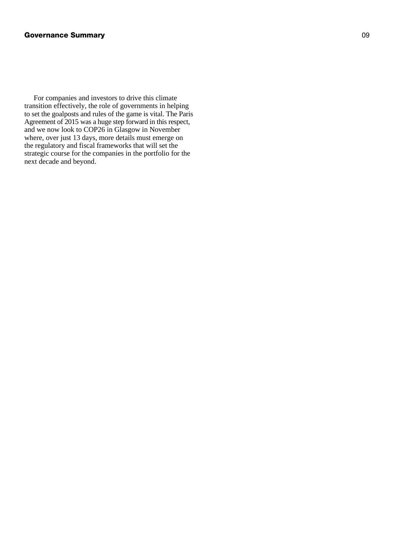For companies and investors to drive this climate transition effectively, the role of governments in helping to set the goalposts and rules of the game is vital. The Paris Agreement of 2015 was a huge step forward in this respect, and we now look to COP26 in Glasgow in November where, over just 13 days, more details must emerge on the regulatory and fiscal frameworks that will set the strategic course for the companies in the portfolio for the next decade and beyond.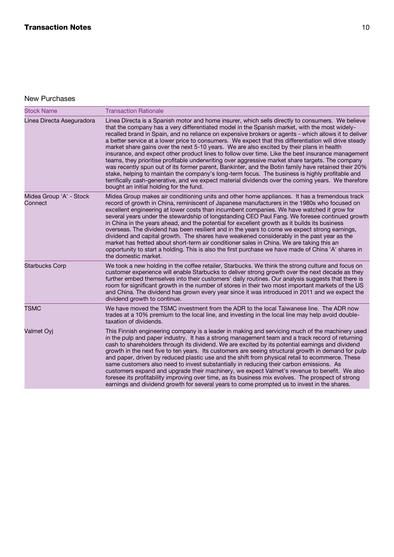# New Purchases

| <b>Stock Name</b>                  | <b>Transaction Rationale</b>                                                                                                                                                                                                                                                                                                                                                                                                                                                                                                                                                                                                                                                                                                                                                                                                                                                                                                                                                                                                                                                        |
|------------------------------------|-------------------------------------------------------------------------------------------------------------------------------------------------------------------------------------------------------------------------------------------------------------------------------------------------------------------------------------------------------------------------------------------------------------------------------------------------------------------------------------------------------------------------------------------------------------------------------------------------------------------------------------------------------------------------------------------------------------------------------------------------------------------------------------------------------------------------------------------------------------------------------------------------------------------------------------------------------------------------------------------------------------------------------------------------------------------------------------|
| Línea Directa Aseguradora          | Linea Directa is a Spanish motor and home insurer, which sells directly to consumers. We believe<br>that the company has a very differentiated model in the Spanish market, with the most widely-<br>recalled brand in Spain, and no reliance on expensive brokers or agents - which allows it to deliver<br>a better service at a lower price to consumers. We expect that this differentiation will drive steady<br>market share gains over the next 5-10 years. We are also excited by their plans in health<br>insurance, and expect other product lines to follow over time. Like the best insurance management<br>teams, they prioritise profitable underwriting over aggressive market share targets. The company<br>was recently spun out of its former parent, Bankinter, and the Botin family have retained their 20%<br>stake, helping to maintain the company's long-term focus. The business is highly profitable and<br>terrifically cash-generative, and we expect material dividends over the coming years. We therefore<br>bought an initial holding for the fund. |
| Midea Group 'A' - Stock<br>Connect | Midea Group makes air conditioning units and other home appliances. It has a tremendous track<br>record of growth in China, reminiscent of Japanese manufacturers in the 1980s who focused on<br>excellent engineering at lower costs than incumbent companies. We have watched it grow for<br>several years under the stewardship of longstanding CEO Paul Fang. We foresee continued growth<br>in China in the years ahead, and the potential for excellent growth as it builds its business<br>overseas. The dividend has been resilient and in the years to come we expect strong earnings,<br>dividend and capital growth. The shares have weakened considerably in the past year as the<br>market has fretted about short-term air conditioner sales in China. We are taking this an<br>opportunity to start a holding. This is also the first purchase we have made of China 'A' shares in<br>the domestic market.                                                                                                                                                           |
| <b>Starbucks Corp</b>              | We took a new holding in the coffee retailer, Starbucks. We think the strong culture and focus on<br>customer experience will enable Starbucks to deliver strong growth over the next decade as they<br>further embed themselves into their customers' daily routines. Our analysis suggests that there is<br>room for significant growth in the number of stores in their two most important markets of the US<br>and China. The dividend has grown every year since it was introduced in 2011 and we expect the<br>dividend growth to continue.                                                                                                                                                                                                                                                                                                                                                                                                                                                                                                                                   |
| <b>TSMC</b>                        | We have moved the TSMC investment from the ADR to the local Taiwanese line. The ADR now<br>trades at a 10% premium to the local line, and investing in the local line may help avoid double-<br>taxation of dividends.                                                                                                                                                                                                                                                                                                                                                                                                                                                                                                                                                                                                                                                                                                                                                                                                                                                              |
| Valmet Oyj                         | This Finnish engineering company is a leader in making and servicing much of the machinery used<br>in the pulp and paper industry. It has a strong management team and a track record of returning<br>cash to shareholders through its dividend. We are excited by its potential earnings and dividend<br>growth in the next five to ten years. Its customers are seeing structural growth in demand for pulp<br>and paper, driven by reduced plastic use and the shift from physical retail to ecommerce. These<br>same customers also need to invest substantially in reducing their carbon emissions. As<br>customers expand and upgrade their machinery, we expect Valmet's revenue to benefit. We also<br>foresee its profitability improving over time, as its business mix evolves. The prospect of strong<br>earnings and dividend growth for several years to come prompted us to invest in the shares.                                                                                                                                                                    |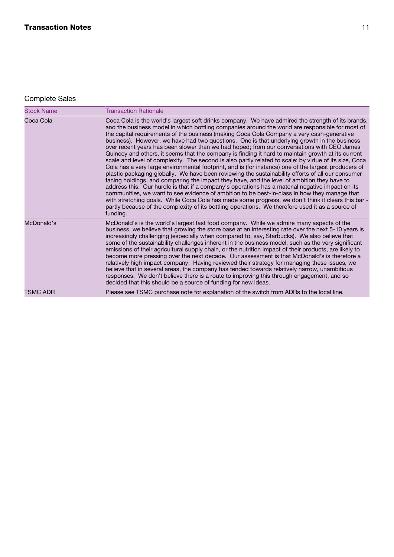# Complete Sales

| <b>Stock Name</b> | <b>Transaction Rationale</b>                                                                                                                                                                                                                                                                                                                                                                                                                                                                                                                                                                                                                                                                                                                                                                                                                                                                                                                                                                                                                                                                                                                                                                                                                                                                                                                                                                                                                            |
|-------------------|---------------------------------------------------------------------------------------------------------------------------------------------------------------------------------------------------------------------------------------------------------------------------------------------------------------------------------------------------------------------------------------------------------------------------------------------------------------------------------------------------------------------------------------------------------------------------------------------------------------------------------------------------------------------------------------------------------------------------------------------------------------------------------------------------------------------------------------------------------------------------------------------------------------------------------------------------------------------------------------------------------------------------------------------------------------------------------------------------------------------------------------------------------------------------------------------------------------------------------------------------------------------------------------------------------------------------------------------------------------------------------------------------------------------------------------------------------|
| Coca Cola         | Coca Cola is the world's largest soft drinks company. We have admired the strength of its brands,<br>and the business model in which bottling companies around the world are responsible for most of<br>the capital requirements of the business (making Coca Cola Company a very cash-generative<br>business). However, we have had two questions. One is that underlying growth in the business<br>over recent years has been slower than we had hoped; from our conversations with CEO James<br>Quincey and others, it seems that the company is finding it hard to maintain growth at its current<br>scale and level of complexity. The second is also partly related to scale: by virtue of its size, Coca<br>Cola has a very large environmental footprint, and is (for instance) one of the largest producers of<br>plastic packaging globally. We have been reviewing the sustainability efforts of all our consumer-<br>facing holdings, and comparing the impact they have, and the level of ambition they have to<br>address this. Our hurdle is that if a company's operations has a material negative impact on its<br>communities, we want to see evidence of ambition to be best-in-class in how they manage that,<br>with stretching goals. While Coca Cola has made some progress, we don't think it clears this bar -<br>partly because of the complexity of its bottling operations. We therefore used it as a source of<br>funding. |
| McDonald's        | McDonald's is the world's largest fast food company. While we admire many aspects of the<br>business, we believe that growing the store base at an interesting rate over the next 5-10 years is<br>increasingly challenging (especially when compared to, say, Starbucks). We also believe that<br>some of the sustainability challenges inherent in the business model, such as the very significant<br>emissions of their agricultural supply chain, or the nutrition impact of their products, are likely to<br>become more pressing over the next decade. Our assessment is that McDonald's is therefore a<br>relatively high impact company. Having reviewed their strategy for managing these issues, we<br>believe that in several areas, the company has tended towards relatively narrow, unambitious<br>responses. We don't believe there is a route to improving this through engagement, and so<br>decided that this should be a source of funding for new ideas.                                                                                                                                                                                                                                                                                                                                                                                                                                                                           |
| <b>TSMC ADR</b>   | Please see TSMC purchase note for explanation of the switch from ADRs to the local line.                                                                                                                                                                                                                                                                                                                                                                                                                                                                                                                                                                                                                                                                                                                                                                                                                                                                                                                                                                                                                                                                                                                                                                                                                                                                                                                                                                |